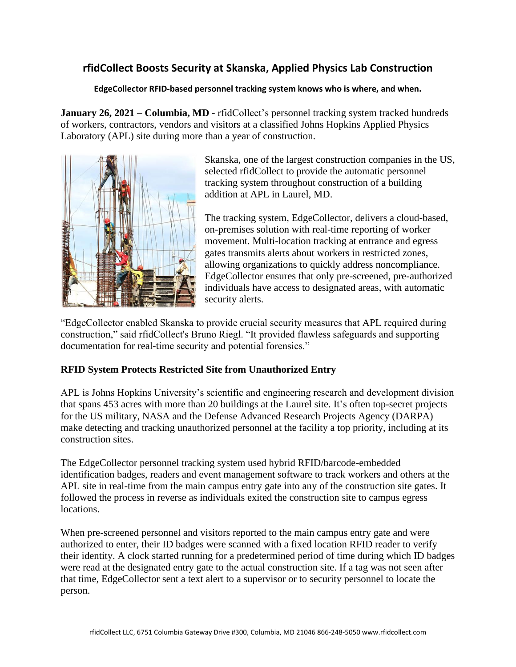# **rfidCollect Boosts Security at Skanska, Applied Physics Lab Construction**

#### **EdgeCollector RFID-based personnel tracking system knows who is where, and when.**

**January 26, 2021 – Columbia, MD -** rfidCollect's personnel tracking system tracked hundreds of workers, contractors, vendors and visitors at a classified Johns Hopkins Applied Physics Laboratory (APL) site during more than a year of construction.



Skanska, one of the largest construction companies in the US, selected rfidCollect to provide the automatic personnel tracking system throughout construction of a building addition at APL in Laurel, MD.

The tracking system, EdgeCollector, delivers a cloud-based, on-premises solution with real-time reporting of worker movement. Multi-location tracking at entrance and egress gates transmits alerts about workers in restricted zones, allowing organizations to quickly address noncompliance. EdgeCollector ensures that only pre-screened, pre-authorized individuals have access to designated areas, with automatic security alerts.

"EdgeCollector enabled Skanska to provide crucial security measures that APL required during construction," said rfidCollect's Bruno Riegl. "It provided flawless safeguards and supporting documentation for real-time security and potential forensics."

### **RFID System Protects Restricted Site from Unauthorized Entry**

APL is Johns Hopkins University's scientific and engineering research and development division that spans 453 acres with more than 20 buildings at the Laurel site. It's often top-secret projects for the US military, NASA and the Defense Advanced Research Projects Agency (DARPA) make detecting and tracking unauthorized personnel at the facility a top priority, including at its construction sites.

The EdgeCollector personnel tracking system used hybrid RFID/barcode-embedded identification badges, readers and event management software to track workers and others at the APL site in real-time from the main campus entry gate into any of the construction site gates. It followed the process in reverse as individuals exited the construction site to campus egress locations.

When pre-screened personnel and visitors reported to the main campus entry gate and were authorized to enter, their ID badges were scanned with a fixed location RFID reader to verify their identity. A clock started running for a predetermined period of time during which ID badges were read at the designated entry gate to the actual construction site. If a tag was not seen after that time, EdgeCollector sent a text alert to a supervisor or to security personnel to locate the person.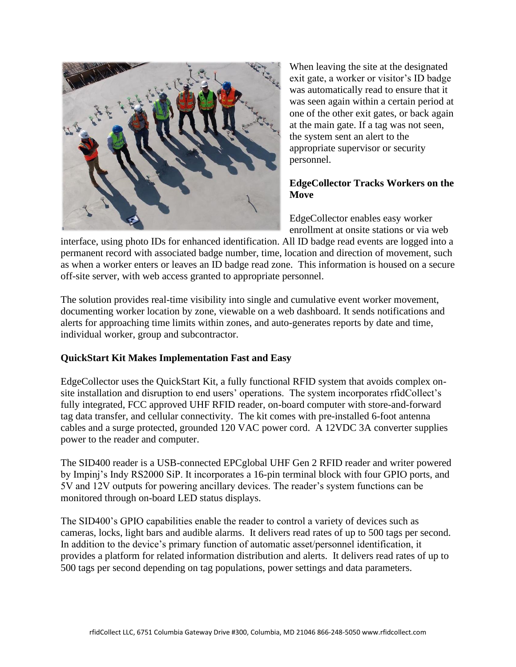

When leaving the site at the designated exit gate, a worker or visitor's ID badge was automatically read to ensure that it was seen again within a certain period at one of the other exit gates, or back again at the main gate. If a tag was not seen, the system sent an alert to the appropriate supervisor or security personnel.

## **EdgeCollector Tracks Workers on the Move**

EdgeCollector enables easy worker enrollment at onsite stations or via web

interface, using photo IDs for enhanced identification. All ID badge read events are logged into a permanent record with associated badge number, time, location and direction of movement, such as when a worker enters or leaves an ID badge read zone. This information is housed on a secure off-site server, with web access granted to appropriate personnel.

The solution provides real-time visibility into single and cumulative event worker movement, documenting worker location by zone, viewable on a web dashboard. It sends notifications and alerts for approaching time limits within zones, and auto-generates reports by date and time, individual worker, group and subcontractor.

### **QuickStart Kit Makes Implementation Fast and Easy**

EdgeCollector uses the QuickStart Kit, a fully functional RFID system that avoids complex onsite installation and disruption to end users' operations. The system incorporates rfidCollect's fully integrated, FCC approved UHF RFID reader, on-board computer with store-and-forward tag data transfer, and cellular connectivity. The kit comes with pre-installed 6-foot antenna cables and a surge protected, grounded 120 VAC power cord. A 12VDC 3A converter supplies power to the reader and computer.

The SID400 reader is a USB-connected EPCglobal UHF Gen 2 RFID reader and writer powered by Impinj's Indy RS2000 SiP. It incorporates a 16-pin terminal block with four GPIO ports, and 5V and 12V outputs for powering ancillary devices. The reader's system functions can be monitored through on-board LED status displays.

The SID400's GPIO capabilities enable the reader to control a variety of devices such as cameras, locks, light bars and audible alarms. It delivers read rates of up to 500 tags per second. In addition to the device's primary function of automatic asset/personnel identification, it provides a platform for related information distribution and alerts. It delivers read rates of up to 500 tags per second depending on tag populations, power settings and data parameters.